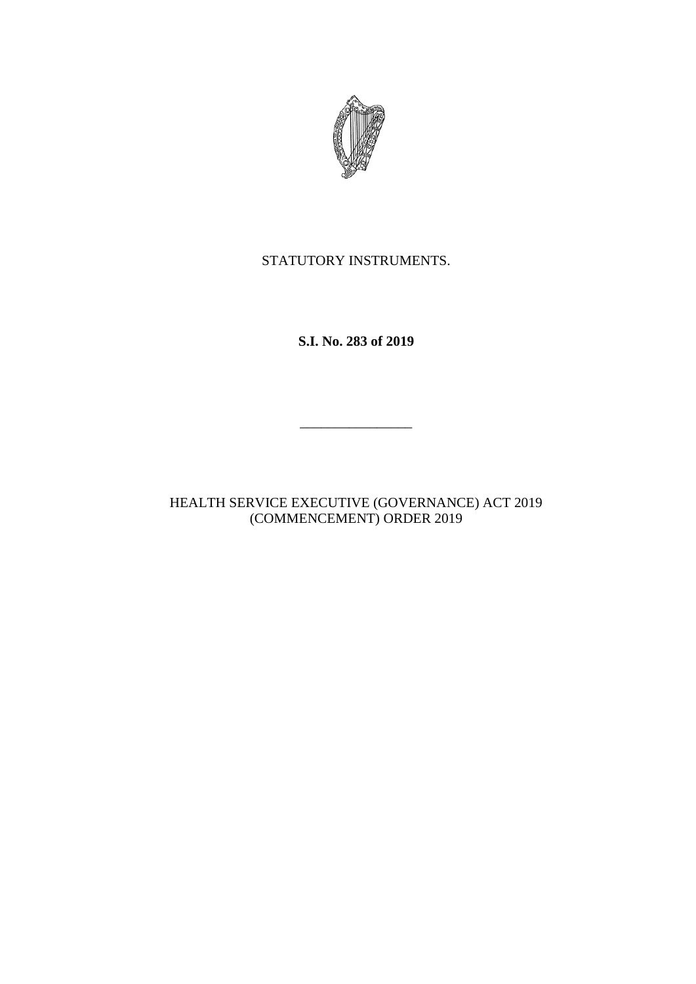

# STATUTORY INSTRUMENTS.

**S.I. No. 283 of 2019**

 $\mathcal{L}=\mathcal{L}^{\mathcal{L}}$ 

HEALTH SERVICE EXECUTIVE (GOVERNANCE) ACT 2019 (COMMENCEMENT) ORDER 2019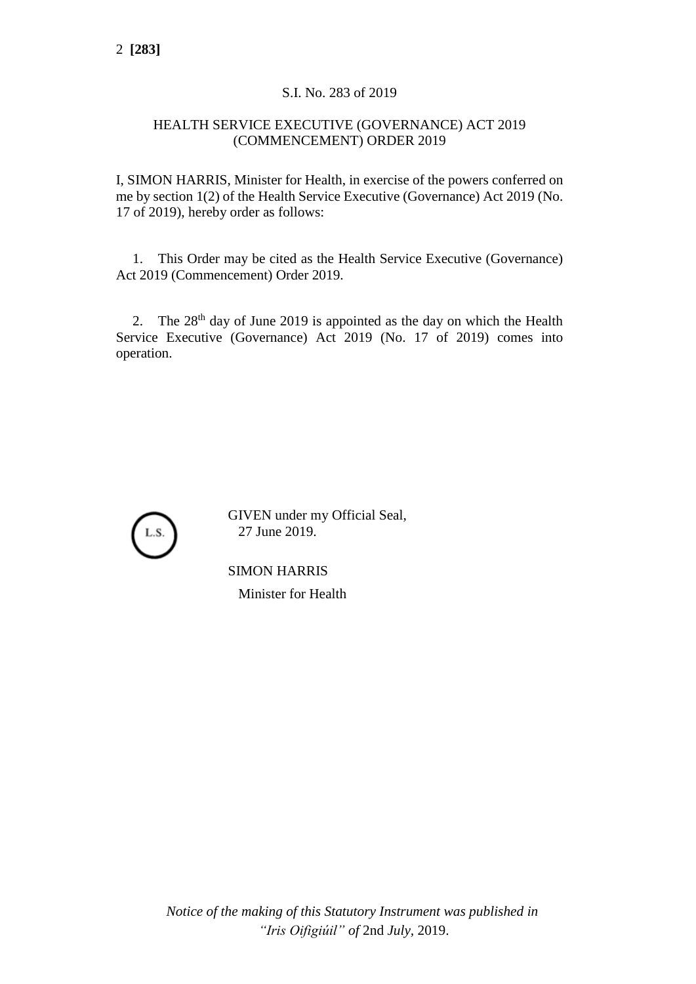# S.I. No. 283 of 2019

## HEALTH SERVICE EXECUTIVE (GOVERNANCE) ACT 2019 (COMMENCEMENT) ORDER 2019

I, SIMON HARRIS, Minister for Health, in exercise of the powers conferred on me by section 1(2) of the Health Service Executive (Governance) Act 2019 (No. 17 of 2019), hereby order as follows:

1. This Order may be cited as the Health Service Executive (Governance) Act 2019 (Commencement) Order 2019.

2. The  $28<sup>th</sup>$  day of June 2019 is appointed as the day on which the Health Service Executive (Governance) Act 2019 (No. 17 of 2019) comes into operation.



GIVEN under my Official Seal, 27 June 2019.

SIMON HARRIS Minister for Health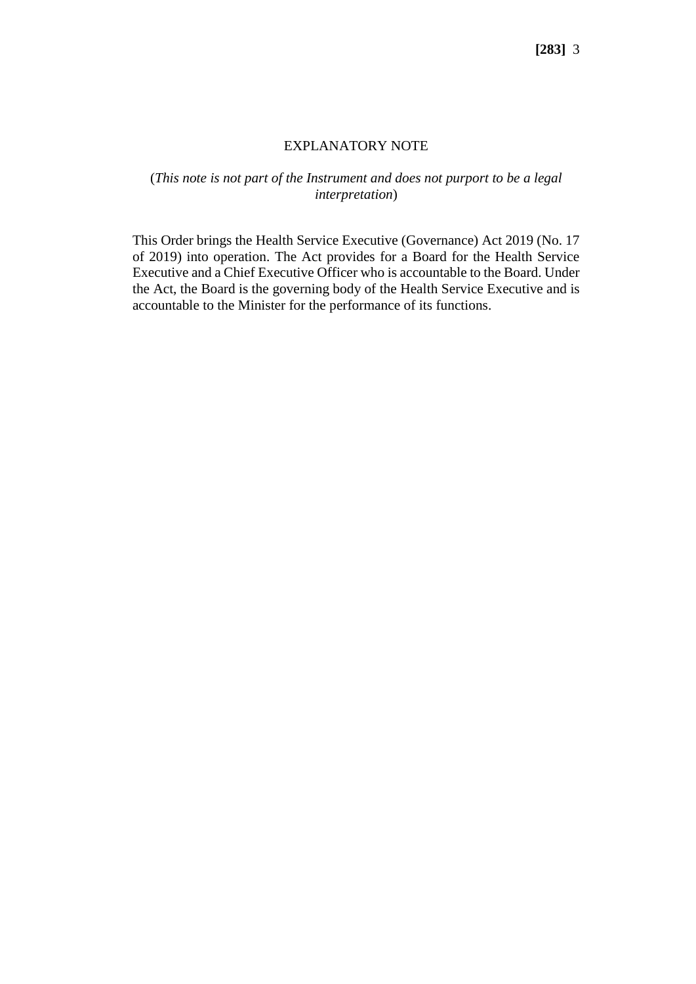## EXPLANATORY NOTE

## (*This note is not part of the Instrument and does not purport to be a legal interpretation*)

This Order brings the Health Service Executive (Governance) Act 2019 (No. 17 of 2019) into operation. The Act provides for a Board for the Health Service Executive and a Chief Executive Officer who is accountable to the Board. Under the Act, the Board is the governing body of the Health Service Executive and is accountable to the Minister for the performance of its functions.